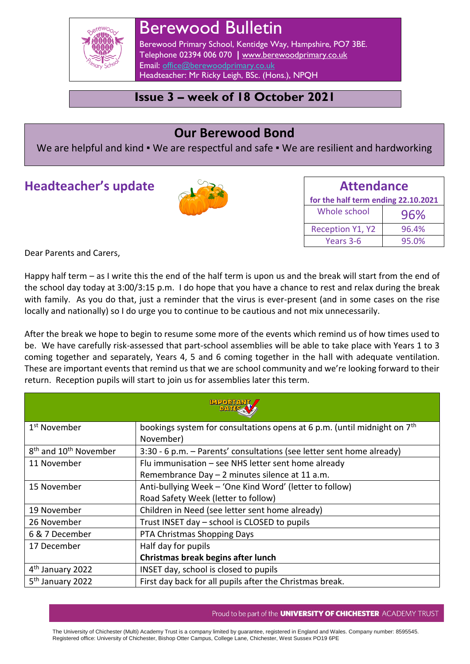

# Berewood Bulletin

Berewood Primary School, Kentidge Way, Hampshire, PO7 3BE. Telephone 02394 006 070 **|** [www.berewoodprimary.co.uk](http://www.berewoodprimary.co.uk/) Email: [office@berewoodprimary.co.uk](mailto:office@berewoodprimary.co.uk) Headteacher: Mr Ricky Leigh, BSc. (Hons.), NPQH

# **Issue 3 – week of 18 October 2021**

# **Our Berewood Bond**

We are helpful and kind • We are respectful and safe • We are resilient and hardworking

# **Headteacher's update**



| <b>Attendance</b>                   |       |
|-------------------------------------|-------|
| for the half term ending 22.10.2021 |       |
| Whole school                        | 96%   |
| <b>Reception Y1, Y2</b>             | 96.4% |
| Years 3-6                           | 95.0% |

Dear Parents and Carers,

Happy half term – as I write this the end of the half term is upon us and the break will start from the end of the school day today at 3:00/3:15 p.m. I do hope that you have a chance to rest and relax during the break with family. As you do that, just a reminder that the virus is ever-present (and in some cases on the rise locally and nationally) so I do urge you to continue to be cautious and not mix unnecessarily.

After the break we hope to begin to resume some more of the events which remind us of how times used to be. We have carefully risk-assessed that part-school assemblies will be able to take place with Years 1 to 3 coming together and separately, Years 4, 5 and 6 coming together in the hall with adequate ventilation. These are important events that remind us that we are school community and we're looking forward to their return. Reception pupils will start to join us for assemblies later this term.

| <b>MAMOCIM</b><br><b>A SETTAC</b>             |                                                                                      |  |
|-----------------------------------------------|--------------------------------------------------------------------------------------|--|
| 1 <sup>st</sup> November                      | bookings system for consultations opens at 6 p.m. (until midnight on 7 <sup>th</sup> |  |
|                                               | November)                                                                            |  |
| 8 <sup>th</sup> and 10 <sup>th</sup> November | 3:30 - 6 p.m. - Parents' consultations (see letter sent home already)                |  |
| 11 November                                   | Flu immunisation - see NHS letter sent home already                                  |  |
|                                               | Remembrance Day - 2 minutes silence at 11 a.m.                                       |  |
| 15 November                                   | Anti-bullying Week - 'One Kind Word' (letter to follow)                              |  |
|                                               | Road Safety Week (letter to follow)                                                  |  |
| 19 November                                   | Children in Need (see letter sent home already)                                      |  |
| 26 November                                   | Trust INSET day - school is CLOSED to pupils                                         |  |
| 6 & 7 December                                | PTA Christmas Shopping Days                                                          |  |
| 17 December                                   | Half day for pupils                                                                  |  |
|                                               | Christmas break begins after lunch                                                   |  |
| 4 <sup>th</sup> January 2022                  | INSET day, school is closed to pupils                                                |  |
| 5 <sup>th</sup> January 2022                  | First day back for all pupils after the Christmas break.                             |  |

#### Proud to be part of the **UNIVERSITY OF CHICHESTER** ACADEMY TRUST

The University of Chichester (Multi) Academy Trust is a company limited by guarantee, registered in England and Wales. Company number: 8595545. Registered office: University of Chichester, Bishop Otter Campus, College Lane, Chichester, West Sussex PO19 6PE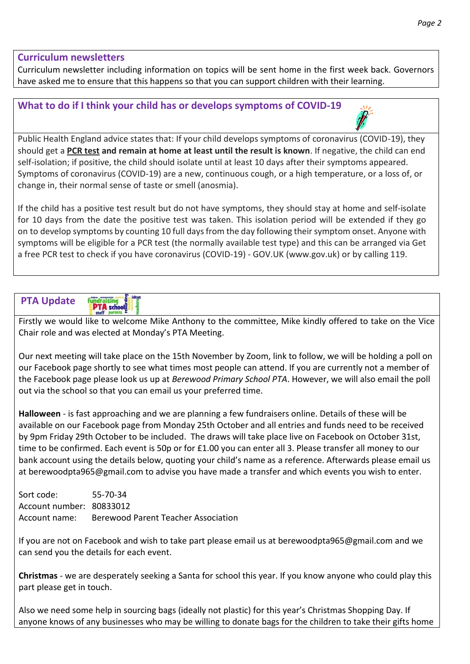#### **Curriculum newsletters**

Curriculum newsletter including information on topics will be sent home in the first week back. Governors have asked me to ensure that this happens so that you can support children with their learning.

## **What to do if I think your child has or develops symptoms of COVID-19**



Public Health England advice states that: If your child develops symptoms of coronavirus (COVID-19), they should get a **PCR test and remain at home at least until the result is known**. If negative, the child can end self-isolation; if positive, the child should isolate until at least 10 days after their symptoms appeared. Symptoms of coronavirus (COVID-19) are a new, continuous cough, or a high temperature, or a loss of, or change in, their normal sense of taste or smell (anosmia).

If the child has a positive test result but do not have symptoms, they should stay at home and self-isolate for 10 days from the date the positive test was taken. This isolation period will be extended if they go on to develop symptoms by counting 10 full days from the day following their symptom onset. Anyone with symptoms will be eligible for a PCR test (the normally available test type) and this can be arranged via Get a free PCR test to check if you have coronavirus (COVID-19) - GOV.UK (www.gov.uk) or by calling 119.



Firstly we would like to welcome Mike Anthony to the committee, Mike kindly offered to take on the Vice Chair role and was elected at Monday's PTA Meeting.

Our next meeting will take place on the 15th November by Zoom, link to follow, we will be holding a poll on our Facebook page shortly to see what times most people can attend. If you are currently not a member of the Facebook page please look us up at *Berewood Primary School PTA*. However, we will also email the poll out via the school so that you can email us your preferred time.

**Halloween** - is fast approaching and we are planning a few fundraisers online. Details of these will be available on our Facebook page from Monday 25th October and all entries and funds need to be received by 9pm Friday 29th October to be included. The draws will take place live on Facebook on October 31st, time to be confirmed. Each event is 50p or for £1.00 you can enter all 3. Please transfer all money to our bank account using the details below, quoting your child's name as a reference. Afterwards please email us at berewoodpta965@gmail.com to advise you have made a transfer and which events you wish to enter.

Sort code: 55-70-34 Account number: 80833012 Account name: Berewood Parent Teacher Association

If you are not on Facebook and wish to take part please email us at berewoodpta965@gmail.com and we can send you the details for each event.

**Christmas** - we are desperately seeking a Santa for school this year. If you know anyone who could play this part please get in touch.

Also we need some help in sourcing bags (ideally not plastic) for this year's Christmas Shopping Day. If anyone knows of any businesses who may be willing to donate bags for the children to take their gifts home